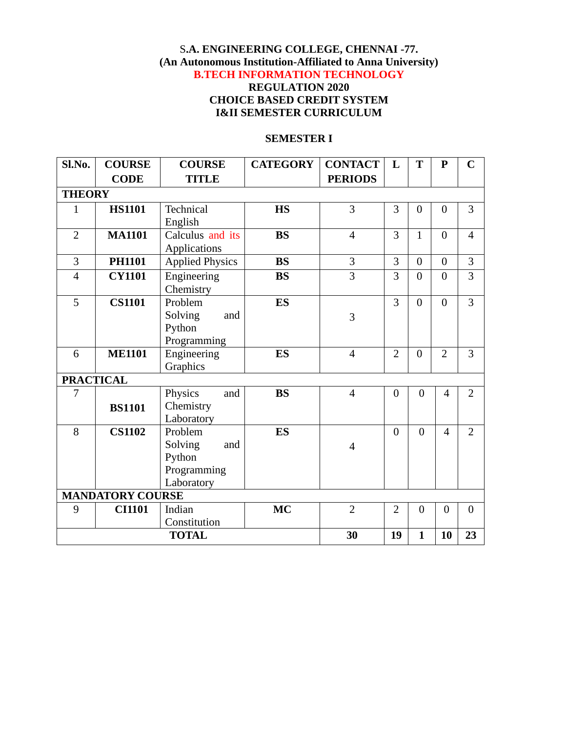### S**.A. ENGINEERING COLLEGE, CHENNAI -77. (An Autonomous Institution-Affiliated to Anna University) B.TECH INFORMATION TECHNOLOGY REGULATION 2020 CHOICE BASED CREDIT SYSTEM I&II SEMESTER CURRICULUM**

#### **SEMESTER I**

| Sl.No.           | <b>COURSE</b>           | <b>COURSE</b>          | <b>CATEGORY</b> | <b>CONTACT</b> | L              | T                | ${\bf P}$      | $\mathbf C$    |
|------------------|-------------------------|------------------------|-----------------|----------------|----------------|------------------|----------------|----------------|
|                  | <b>CODE</b>             | <b>TITLE</b>           |                 | <b>PERIODS</b> |                |                  |                |                |
| <b>THEORY</b>    |                         |                        |                 |                |                |                  |                |                |
| $\mathbf{1}$     | <b>HS1101</b>           | Technical              | <b>HS</b>       | 3              | 3              | $\overline{0}$   | $\overline{0}$ | 3              |
|                  |                         | English                |                 |                |                |                  |                |                |
| $\overline{2}$   | <b>MA1101</b>           | Calculus and its       | <b>BS</b>       | $\overline{4}$ | 3              | $\mathbf{1}$     | $\overline{0}$ | $\overline{4}$ |
|                  |                         | Applications           |                 |                |                |                  |                |                |
| 3                | <b>PH1101</b>           | <b>Applied Physics</b> | <b>BS</b>       | 3              | 3              | $\boldsymbol{0}$ | $\overline{0}$ | 3              |
| $\overline{4}$   | <b>CY1101</b>           | Engineering            | <b>BS</b>       | $\overline{3}$ | $\overline{3}$ | $\overline{0}$   | $\overline{0}$ | $\overline{3}$ |
|                  |                         | Chemistry              |                 |                |                |                  |                |                |
| $\overline{5}$   | <b>CS1101</b>           | Problem                | <b>ES</b>       |                | 3              | $\theta$         | $\overline{0}$ | 3              |
|                  |                         | Solving<br>and         |                 | 3              |                |                  |                |                |
|                  |                         | Python                 |                 |                |                |                  |                |                |
|                  |                         | Programming            |                 |                |                |                  |                |                |
| 6                | <b>ME1101</b>           | Engineering            | <b>ES</b>       | $\overline{4}$ | $\overline{2}$ | $\theta$         | $\overline{2}$ | 3              |
|                  |                         | Graphics               |                 |                |                |                  |                |                |
| <b>PRACTICAL</b> |                         |                        |                 |                |                |                  |                |                |
| 7                |                         | Physics<br>and         | <b>BS</b>       | $\overline{4}$ | $\overline{0}$ | $\overline{0}$   | $\overline{4}$ | $\overline{2}$ |
|                  | <b>BS1101</b>           | Chemistry              |                 |                |                |                  |                |                |
|                  |                         | Laboratory             |                 |                |                |                  |                |                |
| 8                | <b>CS1102</b>           | Problem                | <b>ES</b>       |                | $\overline{0}$ | $\theta$         | $\overline{4}$ | $\overline{2}$ |
|                  |                         | Solving<br>and         |                 | $\overline{4}$ |                |                  |                |                |
|                  |                         | Python                 |                 |                |                |                  |                |                |
|                  |                         | Programming            |                 |                |                |                  |                |                |
|                  |                         | Laboratory             |                 |                |                |                  |                |                |
|                  | <b>MANDATORY COURSE</b> |                        |                 |                |                |                  |                |                |
| 9                | <b>CI1101</b>           | Indian                 | <b>MC</b>       | $\overline{2}$ | $\overline{2}$ | $\overline{0}$   | $\overline{0}$ | $\overline{0}$ |
|                  |                         | Constitution           |                 |                |                |                  |                |                |
| <b>TOTAL</b>     |                         |                        | 30              | 19             | $\mathbf{1}$   | 10               | 23             |                |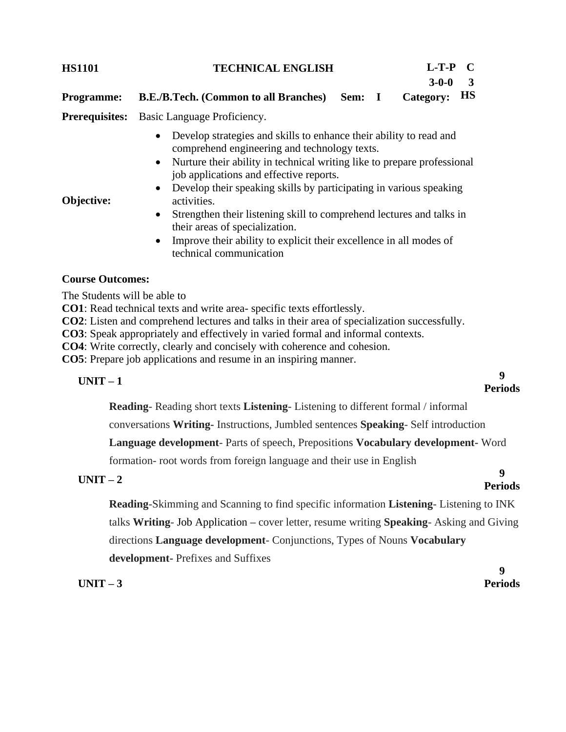| <b>Programme:</b>     | <b>B.E./B.Tech.</b> (Common to all Branches)                                                                                                                                                                                                                                                                                                                                                                                                                                                                                                                                                   | Sem: I | $3 - 0 - 0$<br>Category: | 3<br><b>HS</b> |
|-----------------------|------------------------------------------------------------------------------------------------------------------------------------------------------------------------------------------------------------------------------------------------------------------------------------------------------------------------------------------------------------------------------------------------------------------------------------------------------------------------------------------------------------------------------------------------------------------------------------------------|--------|--------------------------|----------------|
| <b>Prerequisites:</b> | Basic Language Proficiency.                                                                                                                                                                                                                                                                                                                                                                                                                                                                                                                                                                    |        |                          |                |
| Objective:            | Develop strategies and skills to enhance their ability to read and<br>$\bullet$<br>comprehend engineering and technology texts.<br>• Nurture their ability in technical writing like to prepare professional<br>job applications and effective reports.<br>Develop their speaking skills by participating in various speaking<br>$\bullet$<br>activities.<br>Strengthen their listening skill to comprehend lectures and talks in<br>$\bullet$<br>their areas of specialization.<br>Improve their ability to explicit their excellence in all modes of<br>$\bullet$<br>technical communication |        |                          |                |

**HS1101 TECHNICAL ENGLISH L-T-P C**

#### **Course Outcomes:**

The Students will be able to **CO1**: Read technical texts and write area- specific texts effortlessly. **CO2**: Listen and comprehend lectures and talks in their area of specialization successfully. **CO3**: Speak appropriately and effectively in varied formal and informal contexts. **CO4**: Write correctly, clearly and concisely with coherence and cohesion. **CO5**: Prepare job applications and resume in an inspiring manner.

# **UNIT – <sup>1</sup><sup>9</sup>**

**Periods**

**Reading**- Reading short texts **Listening**- Listening to different formal / informal

conversations **Writing-** Instructions, Jumbled sentences **Speaking**- Self introduction

**Language development**- Parts of speech, Prepositions **Vocabulary development-** Word

formation- root words from foreign language and their use in English

# **UNIT – <sup>2</sup><sup>9</sup>**

**Periods** 

**Reading**-Skimming and Scanning to find specific information **Listening**- Listening to INK talks **Writing**- Job Application **–** cover letter, resume writing **Speaking**- Asking and Giving directions **Language development**- Conjunctions, Types of Nouns **Vocabulary development-** Prefixes and Suffixes

 $\textbf{UNIT} - 3$ 

**9 Periods**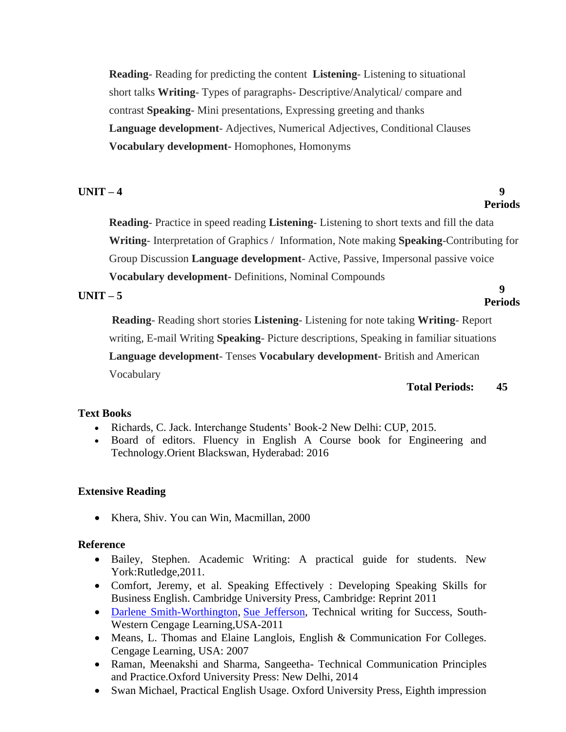**Reading**- Reading for predicting the content **Listening**- Listening to situational short talks **Writing**- Types of paragraphs- Descriptive/Analytical/ compare and contrast **Speaking**- Mini presentations, Expressing greeting and thanks **Language development**- Adjectives, Numerical Adjectives, Conditional Clauses **Vocabulary development-** Homophones, Homonyms

#### **UNIT – 4 9**

**Reading**- Practice in speed reading **Listening**- Listening to short texts and fill the data **Writing**- Interpretation of Graphics / Information, Note making **Speaking**-Contributing for Group Discussion **Language development**- Active, Passive, Impersonal passive voice **Vocabulary development-** Definitions, Nominal Compounds

#### **UNIT – 5**

**Reading**- Reading short stories **Listening**- Listening for note taking **Writing**- Report writing, E-mail Writing **Speaking**- Picture descriptions, Speaking in familiar situations **Language development**- Tenses **Vocabulary development-** British and American Vocabulary

### **Total Periods: 45**

#### **Text Books**

- Richards, C. Jack. Interchange Students' Book-2 New Delhi: CUP, 2015.
- Board of editors. Fluency in English A Course book for Engineering and Technology.Orient Blackswan, Hyderabad: 2016

#### **Extensive Reading**

• Khera, Shiv. You can Win, Macmillan, 2000

#### **Reference**

- Bailey, Stephen. Academic Writing: A practical guide for students. New York:Rutledge,2011.
- Comfort, Jeremy, et al. Speaking Effectively : Developing Speaking Skills for Business English. Cambridge University Press, Cambridge: Reprint 2011
- [Darlene Smith-Worthington,](https://www.amazon.in/s/ref=rdr_ext_aut?_encoding=UTF8&index=books&field-author=Darlene%20Smith-Worthington) [Sue Jefferson,](https://www.amazon.in/s/ref=rdr_ext_aut?_encoding=UTF8&index=books&field-author=Sue%20Jefferson) Technical writing for Success, South-Western Cengage Learning,USA-2011
- Means, L. Thomas and Elaine Langlois, English & Communication For Colleges. Cengage Learning, USA: 2007
- Raman, Meenakshi and Sharma, Sangeetha- Technical Communication Principles and Practice.Oxford University Press: New Delhi, 2014
- Swan Michael, Practical English Usage. Oxford University Press, Eighth impression

# **Periods**

# **9 Periods**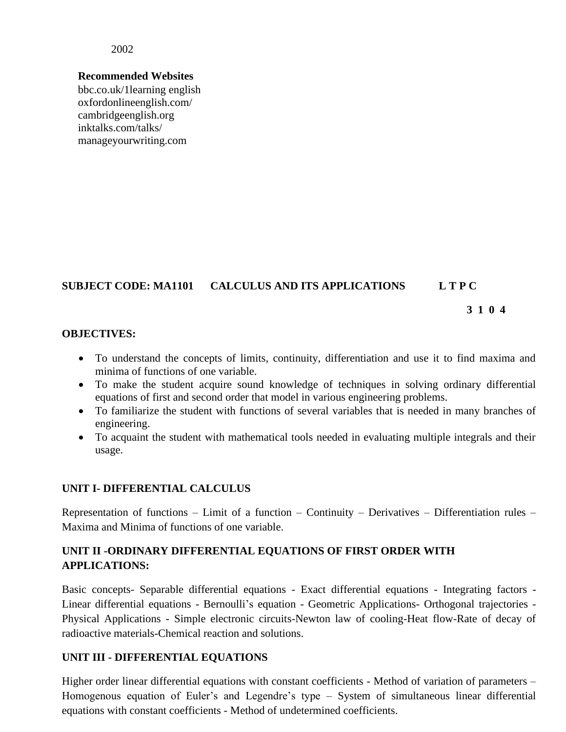2002

# **Recommended Websites**

bbc.co.uk/1learning english oxfordonlineenglish.com/ cambridgeenglish.org inktalks.com/talks/ manageyourwriting.com

# **SUBJECT CODE: MA1101 CALCULUS AND ITS APPLICATIONS L T P C**

 **3 1 0 4**

# **OBJECTIVES:**

- To understand the concepts of limits, continuity, differentiation and use it to find maxima and minima of functions of one variable.
- To make the student acquire sound knowledge of techniques in solving ordinary differential equations of first and second order that model in various engineering problems.
- To familiarize the student with functions of several variables that is needed in many branches of engineering.
- To acquaint the student with mathematical tools needed in evaluating multiple integrals and their usage.

# **UNIT I- DIFFERENTIAL CALCULUS**

Representation of functions – Limit of a function – Continuity – Derivatives – Differentiation rules – Maxima and Minima of functions of one variable.

# **UNIT II -ORDINARY DIFFERENTIAL EQUATIONS OF FIRST ORDER WITH APPLICATIONS:**

Basic concepts- Separable differential equations - Exact differential equations - Integrating factors - Linear differential equations - Bernoulli's equation - Geometric Applications- Orthogonal trajectories - Physical Applications - Simple electronic circuits-Newton law of cooling-Heat flow-Rate of decay of radioactive materials-Chemical reaction and solutions.

# **UNIT III - DIFFERENTIAL EQUATIONS**

Higher order linear differential equations with constant coefficients - Method of variation of parameters – Homogenous equation of Euler's and Legendre's type – System of simultaneous linear differential equations with constant coefficients - Method of undetermined coefficients.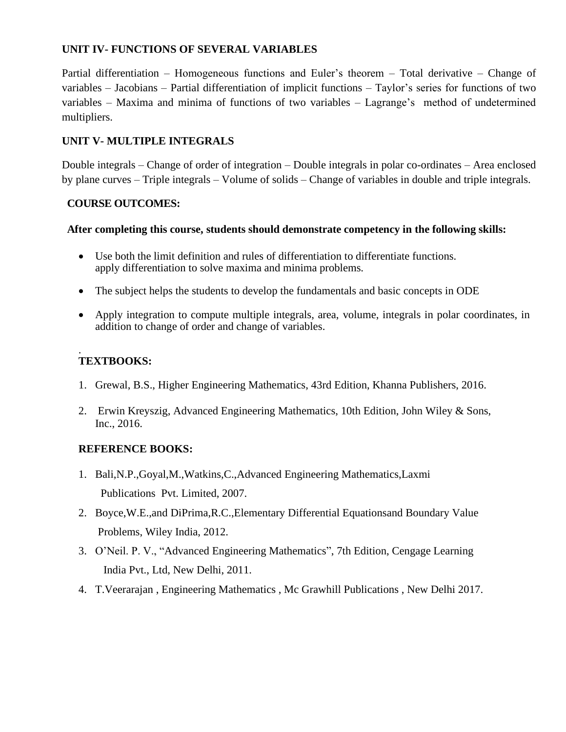# **UNIT IV- FUNCTIONS OF SEVERAL VARIABLES**

Partial differentiation – Homogeneous functions and Euler's theorem – Total derivative – Change of variables – Jacobians – Partial differentiation of implicit functions – Taylor's series for functions of two variables – Maxima and minima of functions of two variables – Lagrange's method of undetermined multipliers.

# **UNIT V- MULTIPLE INTEGRALS**

Double integrals – Change of order of integration – Double integrals in polar co-ordinates – Area enclosed by plane curves – Triple integrals – Volume of solids – Change of variables in double and triple integrals.

# **COURSE OUTCOMES:**

# **After completing this course, students should demonstrate competency in the following skills:**

- Use both the limit definition and rules of differentiation to differentiate functions. apply differentiation to solve maxima and minima problems.
- The subject helps the students to develop the fundamentals and basic concepts in ODE
- Apply integration to compute multiple integrals, area, volume, integrals in polar coordinates, in addition to change of order and change of variables.

#### . **TEXTBOOKS:**

- 1. Grewal, B.S., Higher Engineering Mathematics, 43rd Edition, Khanna Publishers, 2016.
- 2. Erwin Kreyszig, Advanced Engineering Mathematics, 10th Edition, John Wiley & Sons, Inc., 2016.

# **REFERENCE BOOKS:**

- 1. Bali,N.P.,Goyal,M.,Watkins,C.,Advanced Engineering Mathematics,Laxmi Publications Pvt. Limited, 2007.
- 2. Boyce,W.E.,and DiPrima,R.C.,Elementary Differential Equationsand Boundary Value Problems, Wiley India, 2012.
- 3. O'Neil. P. V., "Advanced Engineering Mathematics", 7th Edition, Cengage Learning India Pvt., Ltd, New Delhi, 2011.
- 4. T.Veerarajan , Engineering Mathematics , Mc Grawhill Publications , New Delhi 2017.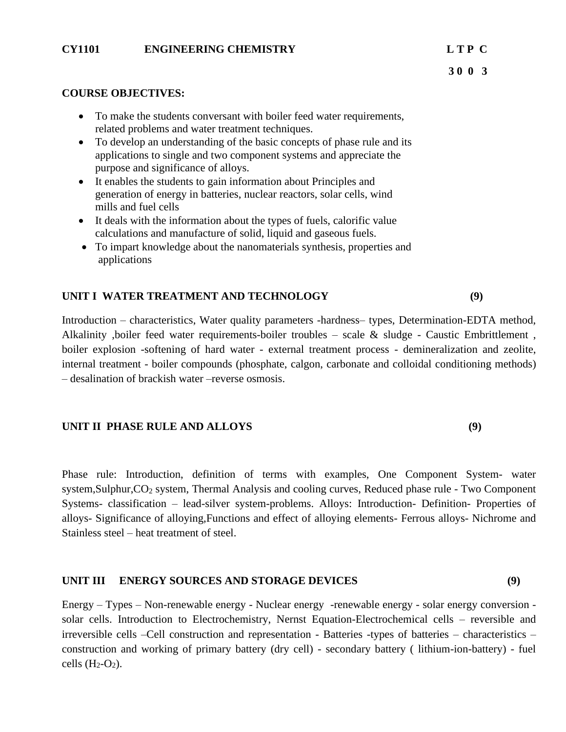#### **COURSE OBJECTIVES:**

- To make the students conversant with boiler feed water requirements, related problems and water treatment techniques.
- To develop an understanding of the basic concepts of phase rule and its applications to single and two component systems and appreciate the purpose and significance of alloys.
- It enables the students to gain information about Principles and generation of energy in batteries, nuclear reactors, solar cells, wind mills and fuel cells
- It deals with the information about the types of fuels, calorific value calculations and manufacture of solid, liquid and gaseous fuels.
- To impart knowledge about the nanomaterials synthesis, properties and applications

#### **UNIT I WATER TREATMENT AND TECHNOLOGY (9)**

Introduction – characteristics, Water quality parameters -hardness– types, Determination-EDTA method, Alkalinity ,boiler feed water requirements-boiler troubles – scale & sludge - Caustic Embrittlement , boiler explosion -softening of hard water - external treatment process - demineralization and zeolite, internal treatment - boiler compounds (phosphate, calgon, carbonate and colloidal conditioning methods) – desalination of brackish water –reverse osmosis.

#### **UNIT II PHASE RULE AND ALLOYS (9)**

Phase rule: Introduction, definition of terms with examples, One Component System- water system,Sulphur,CO<sub>2</sub> system, Thermal Analysis and cooling curves, Reduced phase rule - Two Component Systems- classification – lead-silver system-problems. Alloys: Introduction- Definition- Properties of alloys- Significance of alloying,Functions and effect of alloying elements- Ferrous alloys- Nichrome and Stainless steel – heat treatment of steel.

#### **UNIT III ENERGY SOURCES AND STORAGE DEVICES (9)**

Energy – Types – Non-renewable energy - Nuclear energy -renewable energy - solar energy conversion solar cells. Introduction to Electrochemistry, Nernst Equation-Electrochemical cells – reversible and irreversible cells –Cell construction and representation - Batteries -types of batteries – characteristics – construction and working of primary battery (dry cell) - secondary battery ( lithium-ion-battery) - fuel cells  $(H_2-O_2)$ .

### **3 0 0 3**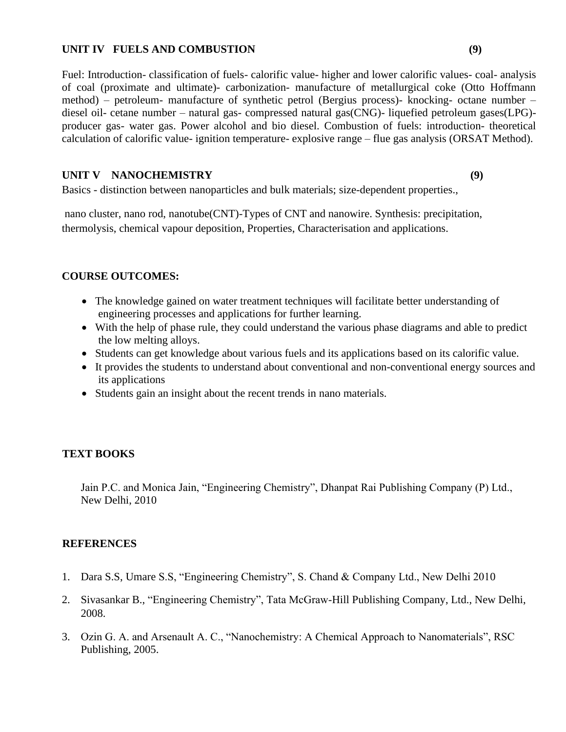#### **UNIT IV FUELS AND COMBUSTION (9)**

Fuel: Introduction- classification of fuels- calorific value- higher and lower calorific values- coal- analysis of coal (proximate and ultimate)- carbonization- manufacture of metallurgical coke (Otto Hoffmann method) – petroleum- manufacture of synthetic petrol (Bergius process)- knocking- octane number – diesel oil- cetane number – natural gas- compressed natural gas(CNG)- liquefied petroleum gases(LPG) producer gas- water gas. Power alcohol and bio diesel. Combustion of fuels: introduction- theoretical calculation of calorific value- ignition temperature- explosive range – flue gas analysis (ORSAT Method).

#### **UNIT V NANOCHEMISTRY (9)**

Basics - distinction between nanoparticles and bulk materials; size-dependent properties.,

nano cluster, nano rod, nanotube(CNT)-Types of CNT and nanowire. Synthesis: precipitation, thermolysis, chemical vapour deposition, Properties, Characterisation and applications.

# **COURSE OUTCOMES:**

- The knowledge gained on water treatment techniques will facilitate better understanding of engineering processes and applications for further learning.
- With the help of phase rule, they could understand the various phase diagrams and able to predict the low melting alloys.
- Students can get knowledge about various fuels and its applications based on its calorific value.
- It provides the students to understand about conventional and non-conventional energy sources and its applications
- Students gain an insight about the recent trends in nano materials.

# **TEXT BOOKS**

Jain P.C. and Monica Jain, "Engineering Chemistry", Dhanpat Rai Publishing Company (P) Ltd., New Delhi, 2010

# **REFERENCES**

- 1. Dara S.S, Umare S.S, "Engineering Chemistry", S. Chand & Company Ltd., New Delhi 2010
- 2. Sivasankar B., "Engineering Chemistry", Tata McGraw-Hill Publishing Company, Ltd., New Delhi, 2008.
- 3. Ozin G. A. and Arsenault A. C., "Nanochemistry: A Chemical Approach to Nanomaterials", RSC Publishing, 2005.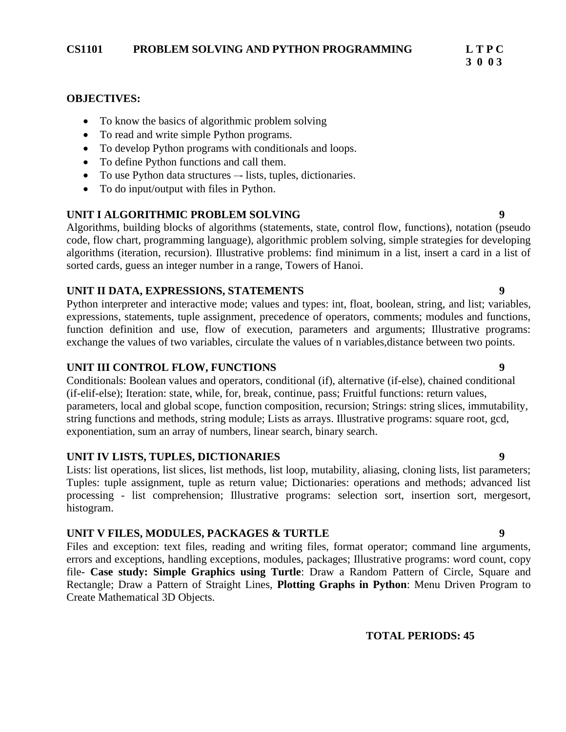#### **OBJECTIVES:**

- To know the basics of algorithmic problem solving
- To read and write simple Python programs.
- To develop Python programs with conditionals and loops.
- To define Python functions and call them.
- To use Python data structures -- lists, tuples, dictionaries.
- To do input/output with files in Python.

# **UNIT I ALGORITHMIC PROBLEM SOLVING 9**

Algorithms, building blocks of algorithms (statements, state, control flow, functions), notation (pseudo code, flow chart, programming language), algorithmic problem solving, simple strategies for developing algorithms (iteration, recursion). Illustrative problems: find minimum in a list, insert a card in a list of sorted cards, guess an integer number in a range, Towers of Hanoi.

# **UNIT II DATA, EXPRESSIONS, STATEMENTS 9**

Python interpreter and interactive mode; values and types: int, float, boolean, string, and list; variables, expressions, statements, tuple assignment, precedence of operators, comments; modules and functions, function definition and use, flow of execution, parameters and arguments; Illustrative programs: exchange the values of two variables, circulate the values of n variables,distance between two points.

#### **UNIT III CONTROL FLOW, FUNCTIONS 9**

Conditionals: Boolean values and operators, conditional (if), alternative (if-else), chained conditional (if-elif-else); Iteration: state, while, for, break, continue, pass; Fruitful functions: return values, parameters, local and global scope, function composition, recursion; Strings: string slices, immutability, string functions and methods, string module; Lists as arrays. Illustrative programs: square root, gcd, exponentiation, sum an array of numbers, linear search, binary search.

#### **UNIT IV LISTS, TUPLES, DICTIONARIES 9**

Lists: list operations, list slices, list methods, list loop, mutability, aliasing, cloning lists, list parameters; Tuples: tuple assignment, tuple as return value; Dictionaries: operations and methods; advanced list processing - list comprehension; Illustrative programs: selection sort, insertion sort, mergesort, histogram.

#### **UNIT V FILES, MODULES, PACKAGES & TURTLE 9**

Files and exception: text files, reading and writing files, format operator; command line arguments, errors and exceptions, handling exceptions, modules, packages; Illustrative programs: word count, copy file- **Case study: Simple Graphics using Turtle**: Draw a Random Pattern of Circle, Square and Rectangle; Draw a Pattern of Straight Lines, **Plotting Graphs in Python**: Menu Driven Program to Create Mathematical 3D Objects.

# **3 0 0 3**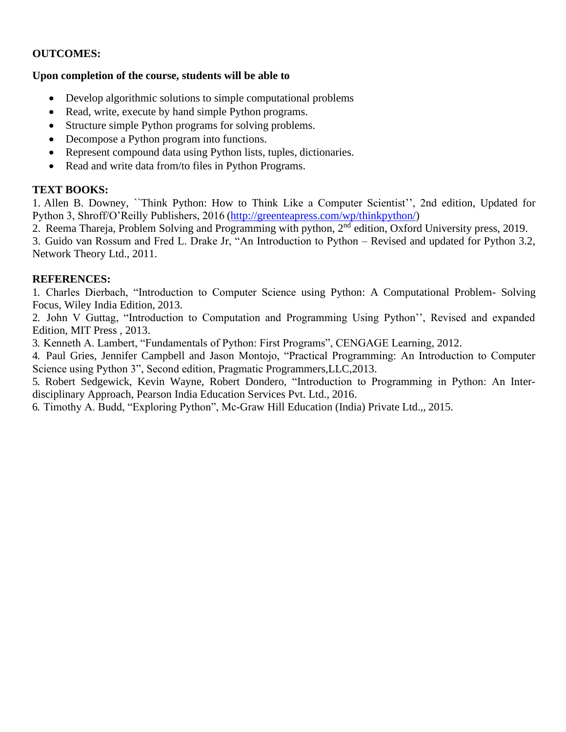# **OUTCOMES:**

#### **Upon completion of the course, students will be able to**

- Develop algorithmic solutions to simple computational problems
- Read, write, execute by hand simple Python programs.
- Structure simple Python programs for solving problems.
- Decompose a Python program into functions.
- Represent compound data using Python lists, tuples, dictionaries.
- Read and write data from/to files in Python Programs.

# **TEXT BOOKS:**

1. Allen B. Downey, ``Think Python: How to Think Like a Computer Scientist'', 2nd edition, Updated for Python 3, Shroff/O'Reilly Publishers, 2016 [\(http://greenteapress.com/wp/thinkpython/\)](http://greenteapress.com/wp/thinkpython/)

2. Reema Thareja, Problem Solving and Programming with python, 2<sup>nd</sup> edition, Oxford University press, 2019.

3. Guido van Rossum and Fred L. Drake Jr, "An Introduction to Python – Revised and updated for Python 3.2, Network Theory Ltd., 2011.

# **REFERENCES:**

1. Charles Dierbach, "Introduction to Computer Science using Python: A Computational Problem- Solving Focus, Wiley India Edition, 2013.

2. John V Guttag, "Introduction to Computation and Programming Using Python'', Revised and expanded Edition, MIT Press , 2013.

3. Kenneth A. Lambert, "Fundamentals of Python: First Programs", CENGAGE Learning, 2012.

4. Paul Gries, Jennifer Campbell and Jason Montojo, "Practical Programming: An Introduction to Computer Science using Python 3", Second edition, Pragmatic Programmers,LLC,2013.

5. Robert Sedgewick, Kevin Wayne, Robert Dondero, "Introduction to Programming in Python: An Interdisciplinary Approach, Pearson India Education Services Pvt. Ltd., 2016.

6. Timothy A. Budd, "Exploring Python", Mc-Graw Hill Education (India) Private Ltd.,, 2015.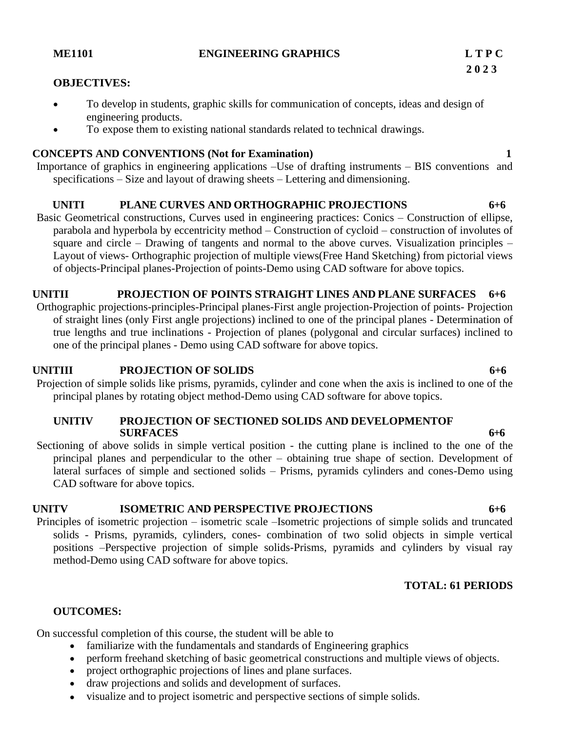### **OBJECTIVES:**

- To develop in students, graphic skills for communication of concepts, ideas and design of engineering products.
- To expose them to existing national standards related to technical drawings.

### **CONCEPTS AND CONVENTIONS (Not for Examination) 1**

Importance of graphics in engineering applications –Use of drafting instruments – BIS conventions and specifications – Size and layout of drawing sheets – Lettering and dimensioning.

#### **UNITI PLANE CURVES AND ORTHOGRAPHIC PROJECTIONS 6+6**

Basic Geometrical constructions, Curves used in engineering practices: Conics – Construction of ellipse, parabola and hyperbola by eccentricity method – Construction of cycloid – construction of involutes of square and circle – Drawing of tangents and normal to the above curves. Visualization principles – Layout of views- Orthographic projection of multiple views(Free Hand Sketching) from pictorial views of objects-Principal planes-Projection of points-Demo using CAD software for above topics.

#### **UNITII PROJECTION OF POINTS STRAIGHT LINES AND PLANE SURFACES 6+6**

Orthographic projections-principles-Principal planes-First angle projection-Projection of points- Projection of straight lines (only First angle projections) inclined to one of the principal planes - Determination of true lengths and true inclinations - Projection of planes (polygonal and circular surfaces) inclined to one of the principal planes - Demo using CAD software for above topics.

#### **UNITIII PROJECTION OF SOLIDS 6+6**

Projection of simple solids like prisms, pyramids, cylinder and cone when the axis is inclined to one of the principal planes by rotating object method-Demo using CAD software for above topics.

#### **UNITIV PROJECTION OF SECTIONED SOLIDS AND DEVELOPMENTOF SURFACES 6+6**

Sectioning of above solids in simple vertical position - the cutting plane is inclined to the one of the principal planes and perpendicular to the other – obtaining true shape of section. Development of lateral surfaces of simple and sectioned solids – Prisms, pyramids cylinders and cones-Demo using CAD software for above topics.

#### **UNITV ISOMETRIC AND PERSPECTIVE PROJECTIONS 6+6**

Principles of isometric projection – isometric scale –Isometric projections of simple solids and truncated solids - Prisms, pyramids, cylinders, cones- combination of two solid objects in simple vertical positions –Perspective projection of simple solids-Prisms, pyramids and cylinders by visual ray method-Demo using CAD software for above topics.

# **TOTAL: 61 PERIODS**

# **OUTCOMES:**

On successful completion of this course, the student will be able to

- familiarize with the fundamentals and standards of Engineering graphics
- perform freehand sketching of basic geometrical constructions and multiple views of objects.
- project orthographic projections of lines and plane surfaces.
- draw projections and solids and development of surfaces.
- visualize and to project isometric and perspective sections of simple solids.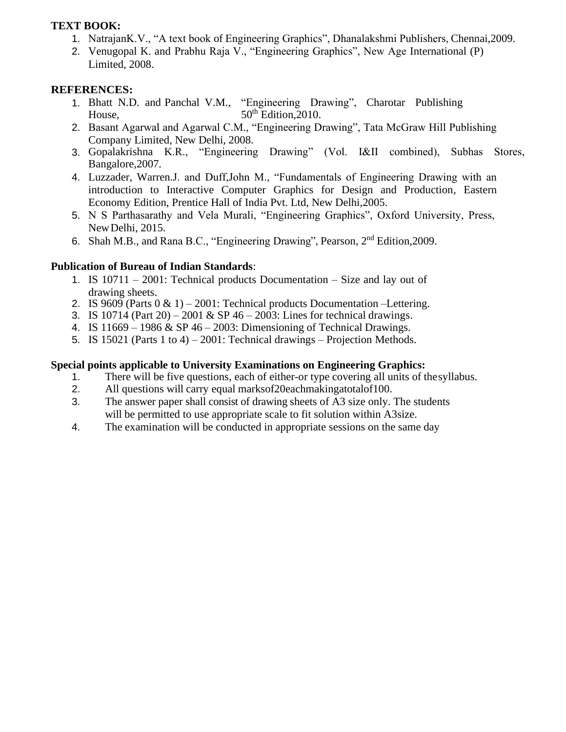#### **TEXT BOOK:**

- 1. NatrajanK.V., "A text book of Engineering Graphics", Dhanalakshmi Publishers, Chennai,2009.
- 2. Venugopal K. and Prabhu Raja V., "Engineering Graphics", New Age International (P) Limited, 2008.

#### **REFERENCES:**

- 1. Bhatt N.D. and Panchal V.M., "Engineering Drawing", Charotar Publishing House,  $50<sup>th</sup> Edition.2010$ .
- 2. Basant Agarwal and Agarwal C.M., "Engineering Drawing", Tata McGraw Hill Publishing Company Limited, New Delhi, 2008.
- 3. Gopalakrishna K.R., "Engineering Drawing" (Vol. I&II combined), Subhas Stores, Bangalore,2007.
- 4. Luzzader, Warren.J. and Duff,John M., "Fundamentals of Engineering Drawing with an introduction to Interactive Computer Graphics for Design and Production, Eastern Economy Edition, Prentice Hall of India Pvt. Ltd, New Delhi,2005.
- 5. N S Parthasarathy and Vela Murali, "Engineering Graphics", Oxford University, Press, NewDelhi, 2015.
- 6. Shah M.B., and Rana B.C., "Engineering Drawing", Pearson, 2nd Edition,2009.

# **Publication of Bureau of Indian Standards**:

- 1. IS 10711 2001: Technical products Documentation Size and lay out of drawing sheets.
- 2. IS 9609 (Parts  $0 \& 1$ ) 2001: Technical products Documentation –Lettering.
- 3. IS 10714 (Part 20) 2001 & SP 46 2003: Lines for technical drawings.
- 4. IS  $11669 1986 \& SP\ 46 2003$ : Dimensioning of Technical Drawings.
- 5. IS 15021 (Parts 1 to 4) 2001: Technical drawings Projection Methods.

#### **Special points applicable to University Examinations on Engineering Graphics:**

- 1. There will be five questions, each of either-or type covering all units of thesyllabus.
- 2. All questions will carry equal marksof20eachmakingatotalof100.
- 3. The answer paper shall consist of drawing sheets of A3 size only. The students will be permitted to use appropriate scale to fit solution within A3size.
- 4. The examination will be conducted in appropriate sessions on the same day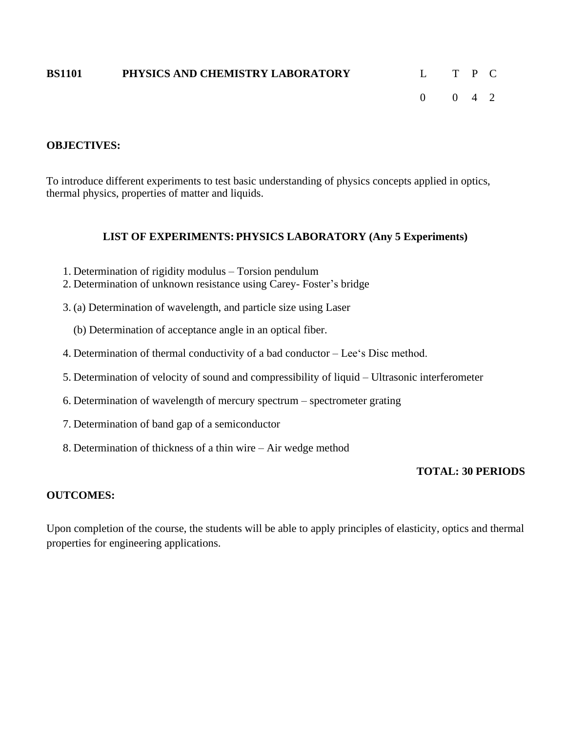| <b>BS1101</b> | PHYSICS AND CHEMISTRY LABORATORY | L T P C                        |  |  |
|---------------|----------------------------------|--------------------------------|--|--|
|               |                                  | $0 \qquad 0 \qquad 4 \qquad 2$ |  |  |

### **OBJECTIVES:**

To introduce different experiments to test basic understanding of physics concepts applied in optics, thermal physics, properties of matter and liquids.

#### **LIST OF EXPERIMENTS: PHYSICS LABORATORY (Any 5 Experiments)**

- 1. Determination of rigidity modulus Torsion pendulum
- 2. Determination of unknown resistance using Carey- Foster's bridge
- 3. (a) Determination of wavelength, and particle size using Laser
	- (b) Determination of acceptance angle in an optical fiber.
- 4. Determination of thermal conductivity of a bad conductor Lee's Disc method.
- 5. Determination of velocity of sound and compressibility of liquid Ultrasonic interferometer
- 6. Determination of wavelength of mercury spectrum spectrometer grating
- 7. Determination of band gap of a semiconductor
- 8. Determination of thickness of a thin wire Air wedge method

# **TOTAL: 30 PERIODS**

#### **OUTCOMES:**

Upon completion of the course, the students will be able to apply principles of elasticity, optics and thermal properties for engineering applications.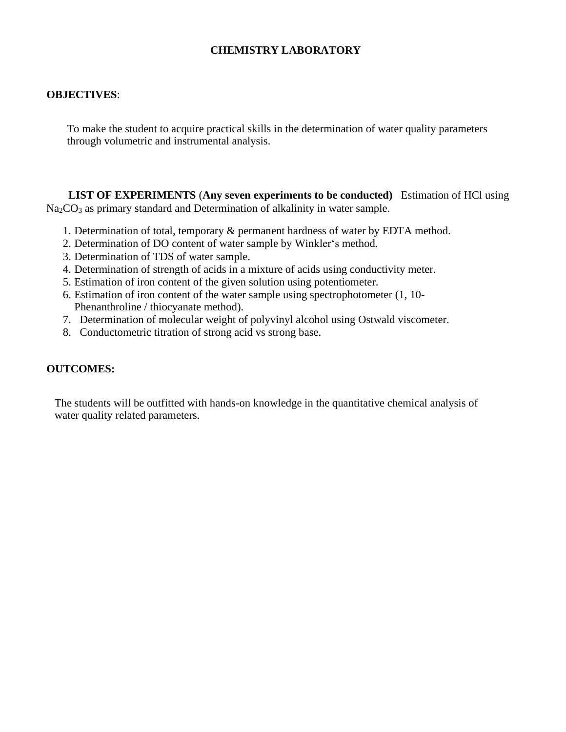# **CHEMISTRY LABORATORY**

#### **OBJECTIVES**:

To make the student to acquire practical skills in the determination of water quality parameters through volumetric and instrumental analysis.

 **LIST OF EXPERIMENTS** (**Any seven experiments to be conducted)** Estimation of HCl using Na<sub>2</sub>CO<sub>3</sub> as primary standard and Determination of alkalinity in water sample.

- 1. Determination of total, temporary & permanent hardness of water by EDTA method.
- 2. Determination of DO content of water sample by Winkler's method.
- 3. Determination of TDS of water sample.
- 4. Determination of strength of acids in a mixture of acids using conductivity meter.
- 5. Estimation of iron content of the given solution using potentiometer.
- 6. Estimation of iron content of the water sample using spectrophotometer (1, 10- Phenanthroline / thiocyanate method).
- 7. Determination of molecular weight of polyvinyl alcohol using Ostwald viscometer.
- 8. Conductometric titration of strong acid vs strong base.

#### **OUTCOMES:**

The students will be outfitted with hands-on knowledge in the quantitative chemical analysis of water quality related parameters.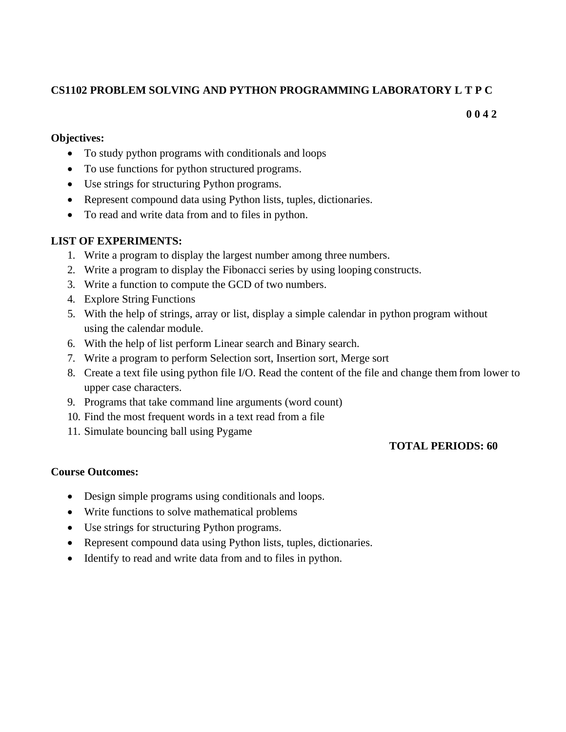# **CS1102 PROBLEM SOLVING AND PYTHON PROGRAMMING LABORATORY L T P C**

**0 0 4 2**

#### **Objectives:**

- To study python programs with conditionals and loops
- To use functions for python structured programs.
- Use strings for structuring Python programs.
- Represent compound data using Python lists, tuples, dictionaries.
- To read and write data from and to files in python.

# **LIST OF EXPERIMENTS:**

- 1. Write a program to display the largest number among three numbers.
- 2. Write a program to display the Fibonacci series by using looping constructs.
- 3. Write a function to compute the GCD of two numbers.
- 4. Explore String Functions
- 5. With the help of strings, array or list, display a simple calendar in python program without using the calendar module.
- 6. With the help of list perform Linear search and Binary search.
- 7. Write a program to perform Selection sort, Insertion sort, Merge sort
- 8. Create a text file using python file I/O. Read the content of the file and change them from lower to upper case characters.
- 9. Programs that take command line arguments (word count)
- 10. Find the most frequent words in a text read from a file
- 11. Simulate bouncing ball using Pygame

# **TOTAL PERIODS: 60**

# **Course Outcomes:**

- Design simple programs using conditionals and loops.
- Write functions to solve mathematical problems
- Use strings for structuring Python programs.
- Represent compound data using Python lists, tuples, dictionaries.
- Identify to read and write data from and to files in python.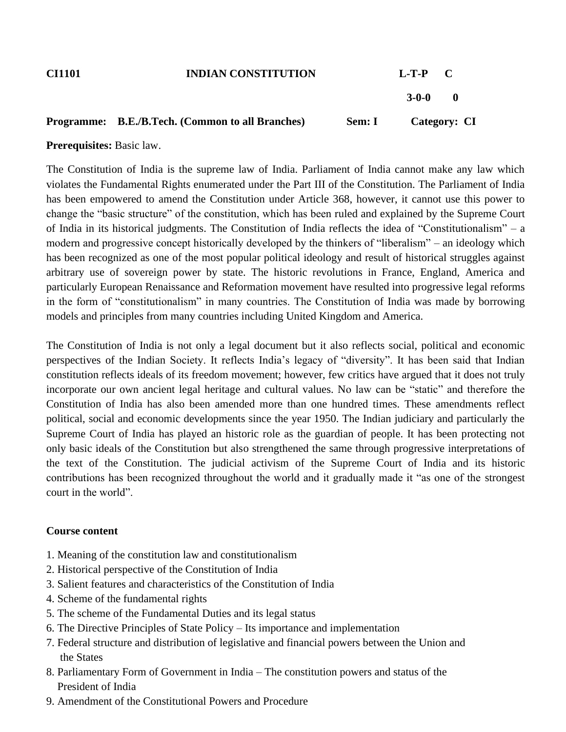| <b>CI1101</b> | <b>INDIAN CONSTITUTION</b>                              |        | $L-T-P$ $C$ |              |
|---------------|---------------------------------------------------------|--------|-------------|--------------|
|               |                                                         |        | $3-0-0$     | -0           |
|               | <b>Programme:</b> B.E./B.Tech. (Common to all Branches) | Sem: I |             | Category: CI |

**Prerequisites:** Basic law.

The Constitution of India is the supreme law of India. Parliament of India cannot make any law which violates the Fundamental Rights enumerated under the Part III of the Constitution. The Parliament of India has been empowered to amend the Constitution under Article 368, however, it cannot use this power to change the "basic structure" of the constitution, which has been ruled and explained by the Supreme Court of India in its historical judgments. The Constitution of India reflects the idea of "Constitutionalism" – a modern and progressive concept historically developed by the thinkers of "liberalism" – an ideology which has been recognized as one of the most popular political ideology and result of historical struggles against arbitrary use of sovereign power by state. The historic revolutions in France, England, America and particularly European Renaissance and Reformation movement have resulted into progressive legal reforms in the form of "constitutionalism" in many countries. The Constitution of India was made by borrowing models and principles from many countries including United Kingdom and America.

The Constitution of India is not only a legal document but it also reflects social, political and economic perspectives of the Indian Society. It reflects India's legacy of "diversity". It has been said that Indian constitution reflects ideals of its freedom movement; however, few critics have argued that it does not truly incorporate our own ancient legal heritage and cultural values. No law can be "static" and therefore the Constitution of India has also been amended more than one hundred times. These amendments reflect political, social and economic developments since the year 1950. The Indian judiciary and particularly the Supreme Court of India has played an historic role as the guardian of people. It has been protecting not only basic ideals of the Constitution but also strengthened the same through progressive interpretations of the text of the Constitution. The judicial activism of the Supreme Court of India and its historic contributions has been recognized throughout the world and it gradually made it "as one of the strongest court in the world".

#### **Course content**

- 1. Meaning of the constitution law and constitutionalism
- 2. Historical perspective of the Constitution of India
- 3. Salient features and characteristics of the Constitution of India
- 4. Scheme of the fundamental rights
- 5. The scheme of the Fundamental Duties and its legal status
- 6. The Directive Principles of State Policy Its importance and implementation
- 7. Federal structure and distribution of legislative and financial powers between the Union and the States
- 8. Parliamentary Form of Government in India The constitution powers and status of the President of India
- 9. Amendment of the Constitutional Powers and Procedure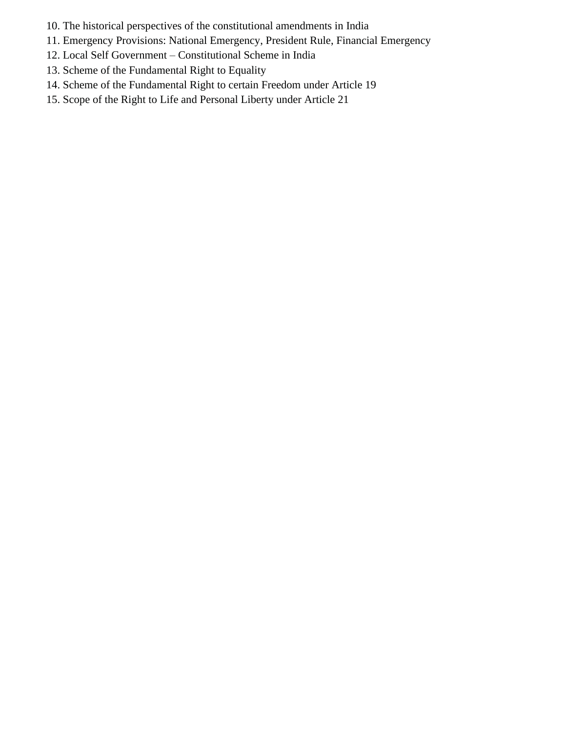- 10. The historical perspectives of the constitutional amendments in India
- 11. Emergency Provisions: National Emergency, President Rule, Financial Emergency
- 12. Local Self Government Constitutional Scheme in India
- 13. Scheme of the Fundamental Right to Equality
- 14. Scheme of the Fundamental Right to certain Freedom under Article 19
- 15. Scope of the Right to Life and Personal Liberty under Article 21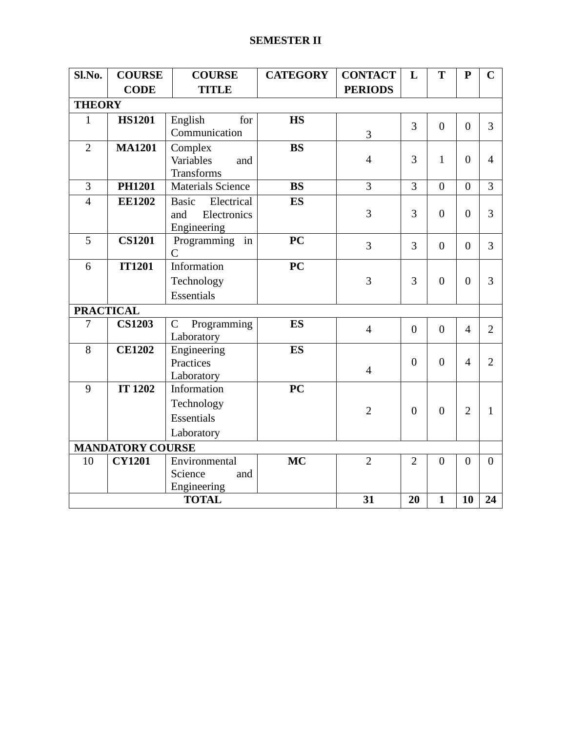| Sl.No.           | <b>COURSE</b>           | <b>COURSE</b>                   | <b>CATEGORY</b> | <b>CONTACT</b> | L              | T                | ${\bf P}$      | $\mathbf C$    |
|------------------|-------------------------|---------------------------------|-----------------|----------------|----------------|------------------|----------------|----------------|
|                  | <b>CODE</b>             | <b>TITLE</b>                    |                 | <b>PERIODS</b> |                |                  |                |                |
| <b>THEORY</b>    |                         |                                 |                 |                |                |                  |                |                |
| 1                | <b>HS1201</b>           | English<br>for                  | <b>HS</b>       |                | 3              | $\overline{0}$   | $\overline{0}$ | $\overline{3}$ |
|                  |                         | Communication                   |                 | 3              |                |                  |                |                |
| $\overline{2}$   | <b>MA1201</b>           | Complex                         | <b>BS</b>       |                |                |                  |                |                |
|                  |                         | Variables<br>and                |                 | $\overline{4}$ | 3              | $\mathbf{1}$     | $\Omega$       | $\overline{4}$ |
|                  |                         | Transforms                      |                 |                |                |                  |                |                |
| 3                | <b>PH1201</b>           | <b>Materials Science</b>        | <b>BS</b>       | $\overline{3}$ | 3              | $\boldsymbol{0}$ | $\overline{0}$ | 3              |
| $\overline{4}$   | <b>EE1202</b>           | Electrical<br><b>Basic</b>      | <b>ES</b>       |                |                |                  |                |                |
|                  |                         | and<br>Electronics              |                 | 3              | 3              | $\theta$         | $\Omega$       | 3              |
|                  |                         | Engineering                     |                 |                |                |                  |                |                |
| 5                | <b>CS1201</b>           | Programming in<br>$\mathcal{C}$ | PC              | 3              | 3              | $\overline{0}$   | $\overline{0}$ | $\overline{3}$ |
| 6                | <b>IT1201</b>           | Information                     | <b>PC</b>       |                |                |                  |                |                |
|                  |                         |                                 |                 | 3              | 3              | $\boldsymbol{0}$ | $\overline{0}$ | $\overline{3}$ |
|                  |                         | Technology                      |                 |                |                |                  |                |                |
|                  |                         | Essentials                      |                 |                |                |                  |                |                |
| <b>PRACTICAL</b> |                         |                                 |                 |                |                |                  |                |                |
| 7                | <b>CS1203</b>           | Programming<br>$\mathbf C$      | <b>ES</b>       | $\overline{4}$ | $\overline{0}$ | $\overline{0}$   | $\overline{4}$ | $\overline{2}$ |
| 8                | <b>CE1202</b>           | Laboratory                      | <b>ES</b>       |                |                |                  |                |                |
|                  |                         | Engineering<br>Practices        |                 |                | $\overline{0}$ | $\overline{0}$   | $\overline{4}$ | $\overline{2}$ |
|                  |                         | Laboratory                      |                 | $\overline{4}$ |                |                  |                |                |
| 9                | <b>IT 1202</b>          | Information                     | PC              |                |                |                  |                |                |
|                  |                         | Technology                      |                 |                |                |                  |                |                |
|                  |                         | Essentials                      |                 | $\overline{2}$ | $\overline{0}$ | $\overline{0}$   | $\overline{2}$ | $\mathbf{1}$   |
|                  |                         |                                 |                 |                |                |                  |                |                |
|                  |                         | Laboratory                      |                 |                |                |                  |                |                |
| 10               | <b>MANDATORY COURSE</b> |                                 |                 |                |                |                  |                | $\Omega$       |
|                  | <b>CY1201</b>           | Environmental<br>Science<br>and | <b>MC</b>       | $\mathfrak{2}$ | $\overline{2}$ | $\overline{0}$   | $\overline{0}$ |                |
|                  |                         | Engineering                     |                 |                |                |                  |                |                |
|                  |                         | <b>TOTAL</b>                    |                 | 31             | 20             | $\mathbf{1}$     | 10             | 24             |
|                  |                         |                                 |                 |                |                |                  |                |                |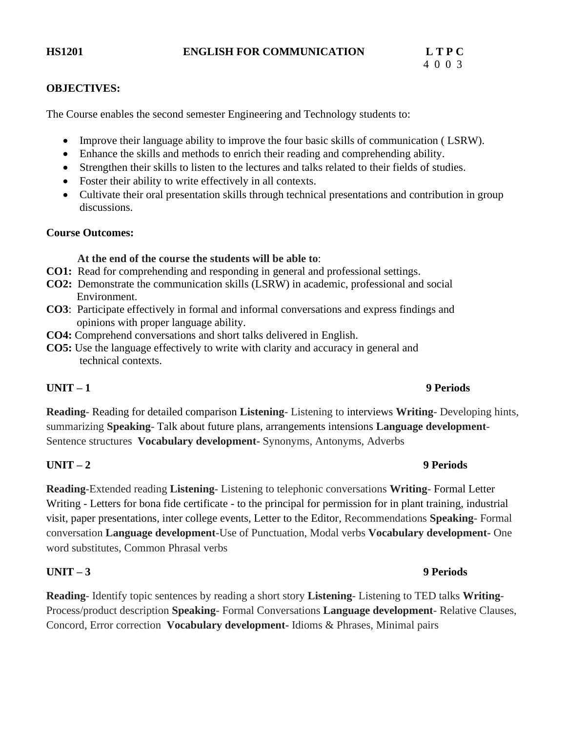### **OBJECTIVES:**

The Course enables the second semester Engineering and Technology students to:

- Improve their language ability to improve the four basic skills of communication (LSRW).
- Enhance the skills and methods to enrich their reading and comprehending ability.
- Strengthen their skills to listen to the lectures and talks related to their fields of studies.
- Foster their ability to write effectively in all contexts.
- Cultivate their oral presentation skills through technical presentations and contribution in group discussions.

#### **Course Outcomes:**

#### **At the end of the course the students will be able to**:

- **CO1:** Read for comprehending and responding in general and professional settings.
- **CO2:** Demonstrate the communication skills (LSRW) in academic, professional and social Environment.
- **CO3**: Participate effectively in formal and informal conversations and express findings and opinions with proper language ability.
- **CO4:** Comprehend conversations and short talks delivered in English.
- **CO5:** Use the language effectively to write with clarity and accuracy in general and technical contexts.

# **UNIT – 1 9 Periods**

**Reading**- Reading for detailed comparison **Listening**- Listening to interviews **Writing**- Developing hints, summarizing **Speaking**- Talk about future plans, arrangements intensions **Language development**-Sentence structures **Vocabulary development-** Synonyms, Antonyms, Adverbs

# **UNIT – 2 9 Periods**

**Reading**-Extended reading **Listening**- Listening to telephonic conversations **Writing**- Formal Letter Writing - Letters for bona fide certificate - to the principal for permission for in plant training, industrial visit, paper presentations, inter college events, Letter to the Editor, Recommendations **Speaking**- Formal conversation **Language development**-Use of Punctuation, Modal verbs **Vocabulary development-** One word substitutes, Common Phrasal verbs

# **UNIT – 3 9 Periods**

**Reading**- Identify topic sentences by reading a short story **Listening**- Listening to TED talks **Writing**-Process/product description **Speaking**- Formal Conversations **Language development**- Relative Clauses, Concord, Error correction **Vocabulary development-** Idioms & Phrases, Minimal pairs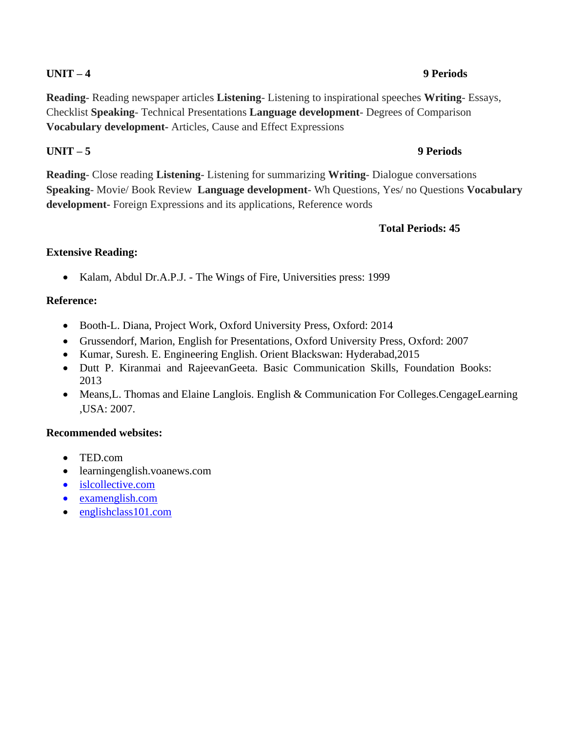**Reading**- Reading newspaper articles **Listening**- Listening to inspirational speeches **Writing**- Essays, Checklist **Speaking**- Technical Presentations **Language development**- Degrees of Comparison **Vocabulary development-** Articles, Cause and Effect Expressions

# **UNIT – 5 9 Periods**

**Reading**- Close reading **Listening**- Listening for summarizing **Writing**- Dialogue conversations **Speaking**- Movie/ Book Review **Language development**- Wh Questions, Yes/ no Questions **Vocabulary development-** Foreign Expressions and its applications, Reference words

# **Total Periods: 45**

# **Extensive Reading:**

• Kalam, Abdul Dr.A.P.J. - The Wings of Fire, Universities press: 1999

# **Reference:**

- Booth-L. Diana, Project Work, Oxford University Press, Oxford: 2014
- Grussendorf, Marion, English for Presentations, Oxford University Press, Oxford: 2007
- Kumar, Suresh. E. Engineering English. Orient Blackswan: Hyderabad,2015
- Dutt P. Kiranmai and RajeevanGeeta. Basic Communication Skills, Foundation Books: 2013
- Means, L. Thomas and Elaine Langlois. English & Communication For Colleges. Cengage Learning ,USA: 2007.

# **Recommended websites:**

- TED.com
- learningenglish.voanews.com
- [islcollective.com](http://www.islcollective.com/)
- examenglish.com
- englishclass101.com

### **UNIT – 4 9 Periods**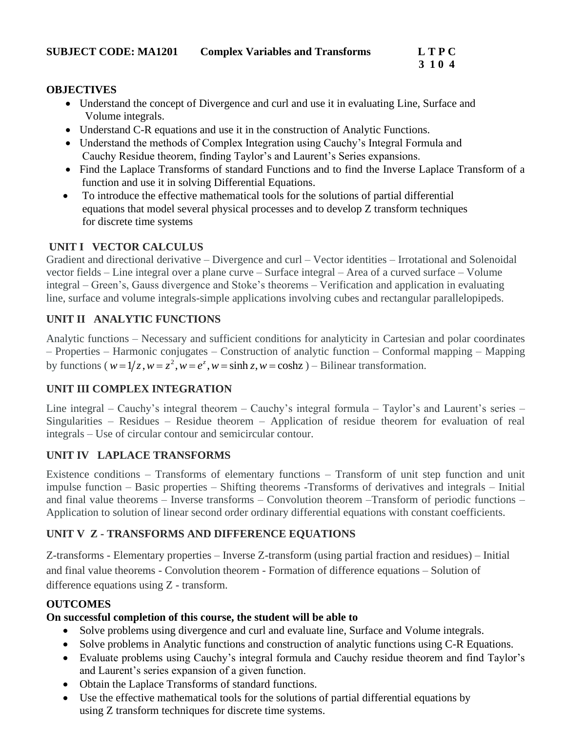# **OBJECTIVES**

- Understand the concept of Divergence and curl and use it in evaluating Line, Surface and Volume integrals.
- Understand C-R equations and use it in the construction of Analytic Functions.
- Understand the methods of Complex Integration using Cauchy's Integral Formula and Cauchy Residue theorem, finding Taylor's and Laurent's Series expansions.
- Find the Laplace Transforms of standard Functions and to find the Inverse Laplace Transform of a function and use it in solving Differential Equations.
- To introduce the effective mathematical tools for the solutions of partial differential equations that model several physical processes and to develop Z transform techniques for discrete time systems

# **UNIT I VECTOR CALCULUS**

Gradient and directional derivative – Divergence and curl – Vector identities – Irrotational and Solenoidal vector fields – Line integral over a plane curve – Surface integral – Area of a curved surface – Volume integral – Green's, Gauss divergence and Stoke's theorems – Verification and application in evaluating line, surface and volume integrals-simple applications involving cubes and rectangular parallelopipeds.

# **UNIT II ANALYTIC FUNCTIONS**

Analytic functions – Necessary and sufficient conditions for analyticity in Cartesian and polar coordinates – Properties – Harmonic conjugates – Construction of analytic function – Conformal mapping – Mapping by functions ( $w = 1/z$ ,  $w = z^2$ Harmonic conjugates – Construction of analytic function – Conforma<br> $w = 1/z$ ,  $w = z^2$ ,  $w = e^z$ ,  $w = \sinh z$ ,  $w = \cosh z$ ) – Bilinear transformation.

# **UNIT III COMPLEX INTEGRATION**

Line integral – Cauchy's integral theorem – Cauchy's integral formula – Taylor's and Laurent's series – Singularities – Residues – Residue theorem – Application of residue theorem for evaluation of real integrals – Use of circular contour and semicircular contour.

# **UNIT IV LAPLACE TRANSFORMS**

Existence conditions – Transforms of elementary functions – Transform of unit step function and unit impulse function – Basic properties – Shifting theorems -Transforms of derivatives and integrals – Initial and final value theorems – Inverse transforms – Convolution theorem –Transform of periodic functions – Application to solution of linear second order ordinary differential equations with constant coefficients.

# **UNIT V Z - TRANSFORMS AND DIFFERENCE EQUATIONS**

Z-transforms - Elementary properties – Inverse Z-transform (using partial fraction and residues) – Initial and final value theorems - Convolution theorem - Formation of difference equations – Solution of difference equations using Z - transform.

# **OUTCOMES**

# **On successful completion of this course, the student will be able to**

- Solve problems using divergence and curl and evaluate line, Surface and Volume integrals.
- Solve problems in Analytic functions and construction of analytic functions using C-R Equations.
- Evaluate problems using Cauchy's integral formula and Cauchy residue theorem and find Taylor's and Laurent's series expansion of a given function.
- Obtain the Laplace Transforms of standard functions.
- Use the effective mathematical tools for the solutions of partial differential equations by using Z transform techniques for discrete time systems.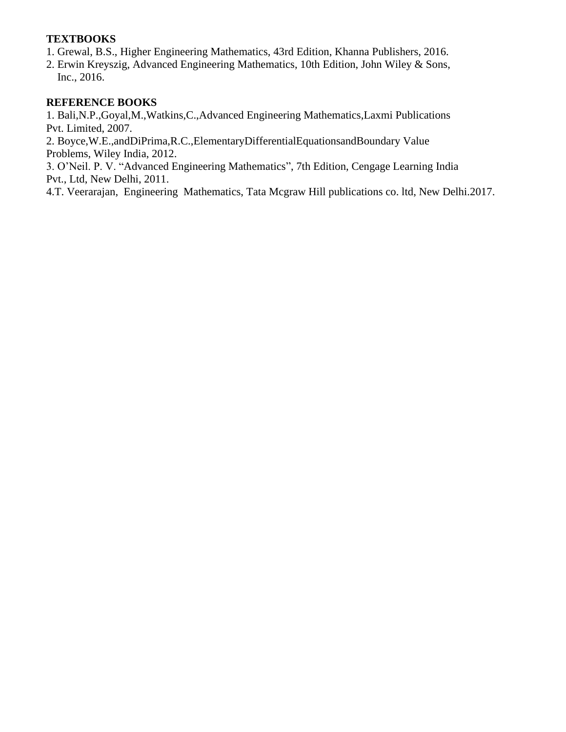### **TEXTBOOKS**

- 1. Grewal, B.S., Higher Engineering Mathematics, 43rd Edition, Khanna Publishers, 2016.
- 2. Erwin Kreyszig, Advanced Engineering Mathematics, 10th Edition, John Wiley & Sons, Inc., 2016.

# **REFERENCE BOOKS**

1. Bali,N.P.,Goyal,M.,Watkins,C.,Advanced Engineering Mathematics,Laxmi Publications Pvt. Limited, 2007.

2. Boyce,W.E.,andDiPrima,R.C.,ElementaryDifferentialEquationsandBoundary Value Problems, Wiley India, 2012.

3. O'Neil. P. V. "Advanced Engineering Mathematics", 7th Edition, Cengage Learning India Pvt., Ltd, New Delhi, 2011.

4.T. Veerarajan, Engineering Mathematics, Tata Mcgraw Hill publications co. ltd, New Delhi.2017.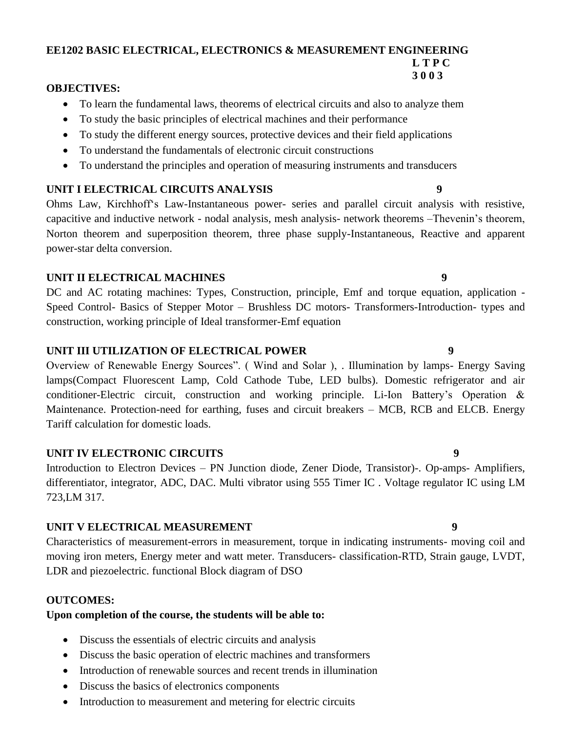#### **EE1202 BASIC ELECTRICAL, ELECTRONICS & MEASUREMENT ENGINEERING L T P C 3 0 0 3**

#### **OBJECTIVES:**

- To learn the fundamental laws, theorems of electrical circuits and also to analyze them
- To study the basic principles of electrical machines and their performance
- To study the different energy sources, protective devices and their field applications
- To understand the fundamentals of electronic circuit constructions
- To understand the principles and operation of measuring instruments and transducers

# **UNIT I ELECTRICAL CIRCUITS ANALYSIS 9**

Ohms Law, Kirchhoff's Law-Instantaneous power- series and parallel circuit analysis with resistive, capacitive and inductive network - nodal analysis, mesh analysis- network theorems –Thevenin's theorem, Norton theorem and superposition theorem, three phase supply-Instantaneous, Reactive and apparent power-star delta conversion.

# **UNIT II ELECTRICAL MACHINES 9**

DC and AC rotating machines: Types, Construction, principle, Emf and torque equation, application - Speed Control- Basics of Stepper Motor – Brushless DC motors- Transformers-Introduction- types and construction, working principle of Ideal transformer-Emf equation

# **UNIT III UTILIZATION OF ELECTRICAL POWER 9**

Overview of Renewable Energy Sources". ( Wind and Solar ), . Illumination by lamps- Energy Saving lamps(Compact Fluorescent Lamp, Cold Cathode Tube, LED bulbs). Domestic refrigerator and air conditioner-Electric circuit, construction and working principle. Li-Ion Battery's Operation & Maintenance. Protection-need for earthing, fuses and circuit breakers – MCB, RCB and ELCB. Energy Tariff calculation for domestic loads.

# **UNIT IV ELECTRONIC CIRCUITS 9**

Introduction to Electron Devices – PN Junction diode, Zener Diode, Transistor)-. Op-amps- Amplifiers, differentiator, integrator, ADC, DAC. Multi vibrator using 555 Timer IC . Voltage regulator IC using LM 723,LM 317.

# **UNIT V ELECTRICAL MEASUREMENT 9**

Characteristics of measurement-errors in measurement, torque in indicating instruments- moving coil and moving iron meters, Energy meter and watt meter. Transducers- classification-RTD, Strain gauge, LVDT, LDR and piezoelectric. functional Block diagram of DSO

# **OUTCOMES:**

# **Upon completion of the course, the students will be able to:**

- Discuss the essentials of electric circuits and analysis
- Discuss the basic operation of electric machines and transformers
- Introduction of renewable sources and recent trends in illumination
- Discuss the basics of electronics components
- Introduction to measurement and metering for electric circuits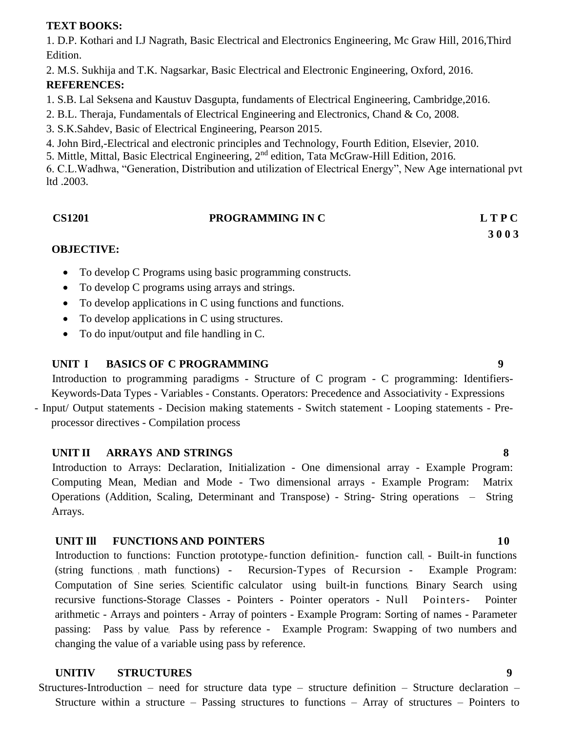#### **TEXT BOOKS:**

1. D.P. Kothari and I.J Nagrath, Basic Electrical and Electronics Engineering, Mc Graw Hill, 2016,Third Edition.

2. M.S. Sukhija and T.K. Nagsarkar, Basic Electrical and Electronic Engineering, Oxford, 2016. **REFERENCES:**

1. S.B. Lal Seksena and Kaustuv Dasgupta, fundaments of Electrical Engineering, Cambridge,2016.

2. B.L. Theraja, Fundamentals of Electrical Engineering and Electronics, Chand & Co, 2008.

3. S.K.Sahdev, Basic of Electrical Engineering, Pearson 2015.

4. John Bird,-Electrical and electronic principles and Technology, Fourth Edition, Elsevier, 2010.

5. Mittle, Mittal, Basic Electrical Engineering, 2nd edition, Tata McGraw-Hill Edition, 2016.

6. C.L.Wadhwa, "Generation, Distribution and utilization of Electrical Energy", New Age international pvt ltd .2003.

#### **CS1201 PROGRAMMING IN C L T P C**

**3 0 0 3**

# **OBJECTIVE:**

- To develop C Programs using basic programming constructs.
- To develop C programs using arrays and strings.
- To develop applications in C using functions and functions.
- To develop applications in C using structures.
- To do input/output and file handling in C.

# **UNIT I BASICS OF C PROGRAMMING 9**

Introduction to programming paradigms - Structure of C program - C programming: Identifiers-Keywords-Data Types - Variables - Constants. Operators: Precedence and Associativity - Expressions

- Input/ Output statements - Decision making statements - Switch statement - Looping statements - Preprocessor directives - Compilation process

# **UNIT II ARRAYS AND STRINGS 8**

Introduction to Arrays: Declaration, Initialization - One dimensional array - Example Program: Computing Mean, Median and Mode - Two dimensional arrays - Example Program: Matrix Operations (Addition, Scaling, Determinant and Transpose) - String- String operations – String Arrays.

# **UNIT Ill FUNCTIONS AND POINTERS 10**

Introduction to functions: Function prototype,-function definition,- function call, - Built-in functions (string functions, , math functions) - Recursion-Types of Recursion - Example Program: Computation of Sine series, Scientific calculator using built-in functions, Binary Search using recursive functions-Storage Classes - Pointers - Pointer operators - Null Pointers- Pointer arithmetic - Arrays and pointers - Array of pointers - Example Program: Sorting of names - Parameter passing: Pass by value, Pass by reference - Example Program: Swapping of two numbers and changing the value of a variable using pass by reference.

# **UNITIV STRUCTURES 9**

Structures-Introduction – need for structure data type – structure definition – Structure declaration – Structure within a structure – Passing structures to functions – Array of structures – Pointers to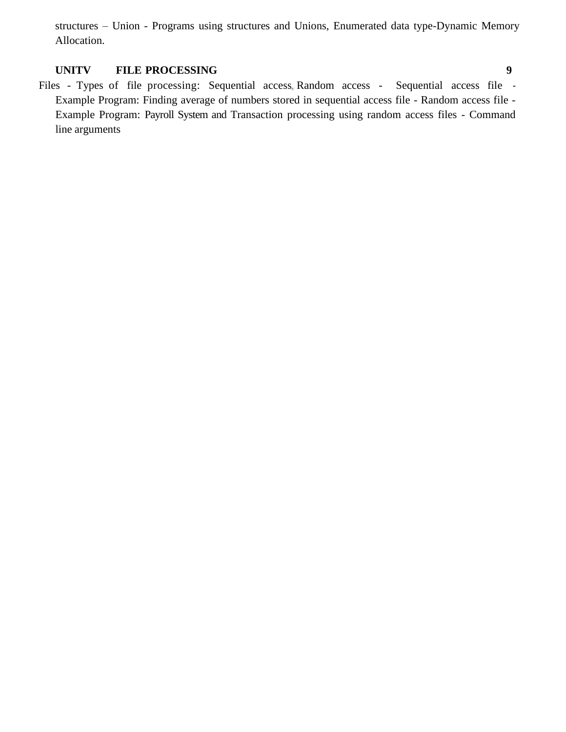structures – Union - Programs using structures and Unions, Enumerated data type-Dynamic Memory Allocation.

# **UNITV FILE PROCESSING 9**

Files - Types of file processing: Sequential access, Random access - Sequential access file -Example Program: Finding average of numbers stored in sequential access file - Random access file - Example Program: Payroll System and Transaction processing using random access files - Command line arguments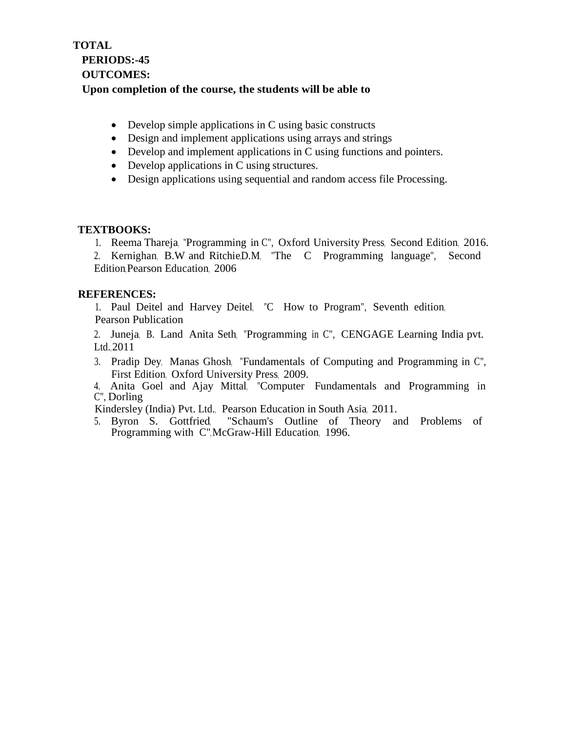# **TOTAL PERIODS:-45 OUTCOMES: Upon completion of the course, the students will be able to**

- Develop simple applications in C using basic constructs
- Design and implement applications using arrays and strings
- Develop and implement applications in C using functions and pointers.
- Develop applications in C using structures.
- Design applications using sequential and random access file Processing.

#### **TEXTBOOKS:**

- 1. Reema Thareja, "Programming in C", Oxford University Press, Second Edition, 2016.
- 2. Kernighan, B.W and Ritchie,D.M, "The C Programming language", Second Edition, Pearson Education, 2006

#### **REFERENCES:**

1. Paul Deitel and Harvey Deitel, "C How to Program", Seventh edition, Pearson Publication

2. Juneja, B. Land Anita Seth, "Programming in C", CENGAGE Learning India pvt. Ltd., 2011

- 3. Pradip Dey, Manas Ghosh, "Fundamentals of Computing and Programming in C", First Edition, Oxford University Press, 2009.
- 4. Anita Goel and Ajay Mittal, "Computer Fundamentals and Programming in C", Dorling

Kindersley (India) Pvt. Ltd., Pearson Education in South Asia, 2011.

5. Byron S. Gottfried, "Schaum's Outline of Theory and Problems of Programming with C",McGraw-Hill Education, 1996.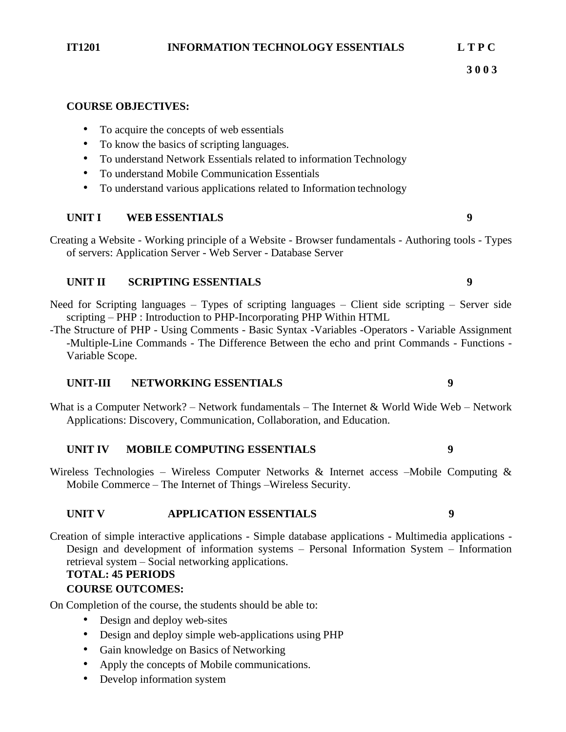#### **COURSE OBJECTIVES:**

- To acquire the concepts of web essentials
- To know the basics of scripting languages.
- To understand Network Essentials related to information Technology
- To understand Mobile Communication Essentials
- To understand various applications related to Information technology

# **UNIT I WEB ESSENTIALS 9**

Creating a Website - Working principle of a Website - Browser fundamentals - Authoring tools - Types of servers: Application Server - Web Server - Database Server

# **UNIT II SCRIPTING ESSENTIALS 9**

- Need for Scripting languages Types of scripting languages Client side scripting Server side scripting – PHP : Introduction to PHP-Incorporating PHP Within HTML
- -The Structure of PHP Using Comments Basic Syntax -Variables -Operators Variable Assignment -Multiple-Line Commands - The Difference Between the echo and print Commands - Functions - Variable Scope.

# **UNIT-III NETWORKING ESSENTIALS 9**

What is a Computer Network? – Network fundamentals – The Internet & World Wide Web – Network Applications: Discovery, Communication, Collaboration, and Education.

# **UNIT IV MOBILE COMPUTING ESSENTIALS 9**

Wireless Technologies – Wireless Computer Networks & Internet access –Mobile Computing & Mobile Commerce – The Internet of Things –Wireless Security.

# **UNIT V APPLICATION ESSENTIALS 9**

Creation of simple interactive applications - Simple database applications - Multimedia applications - Design and development of information systems – Personal Information System – Information retrieval system – Social networking applications.

#### **TOTAL: 45 PERIODS COURSE OUTCOMES:**

On Completion of the course, the students should be able to:

- Design and deploy web-sites
- Design and deploy simple web-applications using PHP
- Gain knowledge on Basics of Networking
- Apply the concepts of Mobile communications.
- Develop information system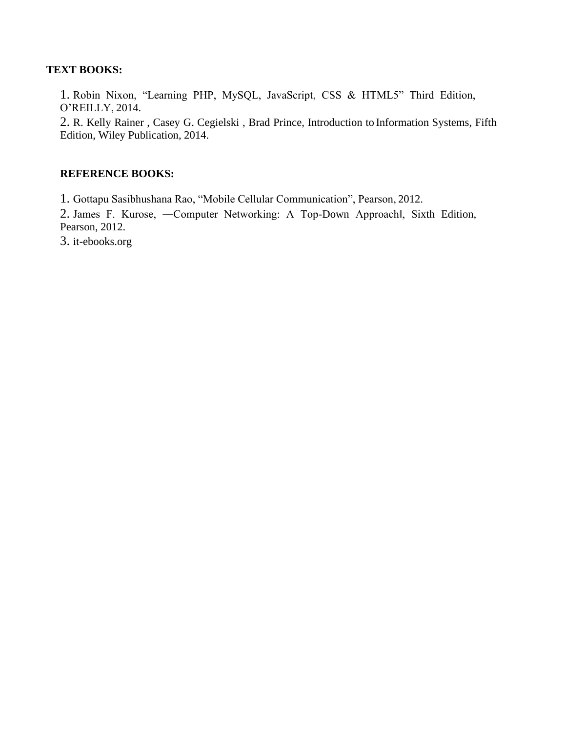#### **TEXT BOOKS:**

1. Robin Nixon, "Learning PHP, MySQL, JavaScript, CSS & HTML5" Third Edition, O'REILLY, 2014.

2. R. Kelly Rainer , Casey G. Cegielski , Brad Prince, Introduction to Information Systems, Fifth Edition, Wiley Publication, 2014.

#### **REFERENCE BOOKS:**

1. Gottapu Sasibhushana Rao, "Mobile Cellular Communication", Pearson, 2012.

2. James F. Kurose, ―Computer Networking: A Top-Down Approach‖, Sixth Edition, Pearson, 2012.

3. it-ebooks.org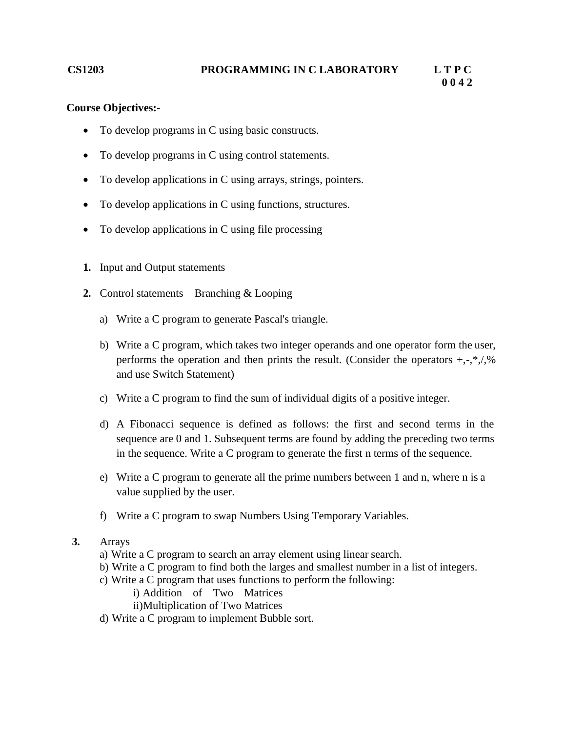**0 0 4 2**

# **Course Objectives:-**

- To develop programs in C using basic constructs.
- To develop programs in C using control statements.
- To develop applications in C using arrays, strings, pointers.
- To develop applications in C using functions, structures.
- To develop applications in C using file processing
- **1.** Input and Output statements
- **2.** Control statements Branching & Looping
	- a) Write a C program to generate Pascal's triangle.
	- b) Write a C program, which takes two integer operands and one operator form the user, performs the operation and then prints the result. (Consider the operators  $+, \cdot, *, ',\%$ and use Switch Statement)
	- c) Write a C program to find the sum of individual digits of a positive integer.
	- d) A Fibonacci sequence is defined as follows: the first and second terms in the sequence are 0 and 1. Subsequent terms are found by adding the preceding two terms in the sequence. Write a C program to generate the first n terms of the sequence.
	- e) Write a C program to generate all the prime numbers between 1 and n, where n is a value supplied by the user.
	- f) Write a C program to swap Numbers Using Temporary Variables.
- **3.** Arrays
	- a) Write a C program to search an array element using linear search.
	- b) Write a C program to find both the larges and smallest number in a list of integers.
	- c) Write a C program that uses functions to perform the following:
		- i) Addition of Two Matrices
		- ii)Multiplication of Two Matrices
	- d) Write a C program to implement Bubble sort.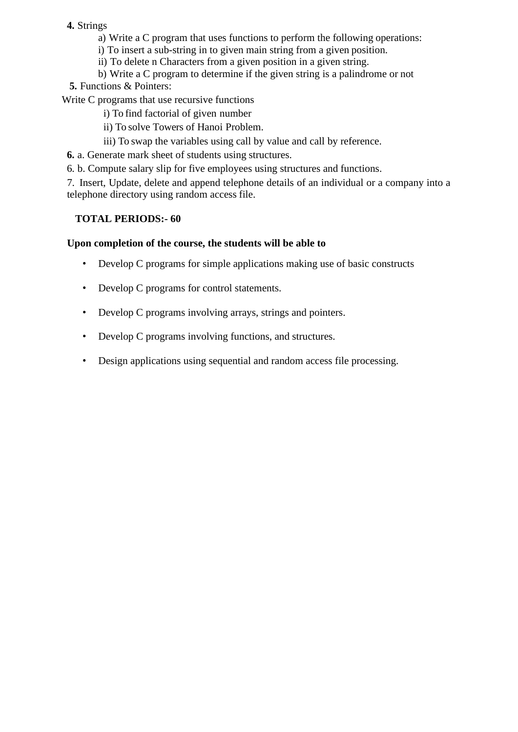# **4.** Strings

- a) Write a C program that uses functions to perform the following operations:
- i) To insert a sub-string in to given main string from a given position.
- ii) To delete n Characters from a given position in a given string.
- b) Write a C program to determine if the given string is a palindrome or not
- **5.** Functions & Pointers:

Write C programs that use recursive functions

- i) To find factorial of given number
- ii) To solve Towers of Hanoi Problem.
- iii) To swap the variables using call by value and call by reference.
- **6.** a. Generate mark sheet of students using structures.
- 6. b. Compute salary slip for five employees using structures and functions.

7. Insert, Update, delete and append telephone details of an individual or a company into a telephone directory using random access file.

# **TOTAL PERIODS:- 60**

# **Upon completion of the course, the students will be able to**

- Develop C programs for simple applications making use of basic constructs
- Develop C programs for control statements.
- Develop C programs involving arrays, strings and pointers.
- Develop C programs involving functions, and structures.
- Design applications using sequential and random access file processing.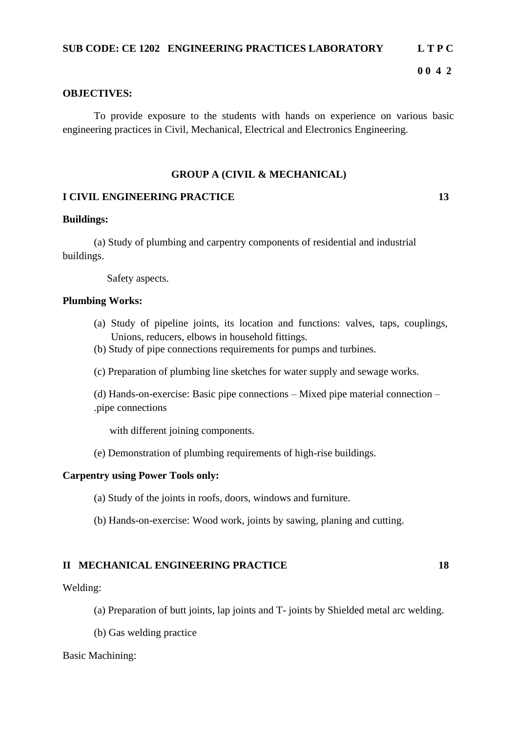#### **SUB CODE: CE 1202 ENGINEERING PRACTICES LABORATORY L T P C**

 **0 0 4 2** 

#### **OBJECTIVES:**

To provide exposure to the students with hands on experience on various basic engineering practices in Civil, Mechanical, Electrical and Electronics Engineering.

#### **GROUP A (CIVIL & MECHANICAL)**

#### **I CIVIL ENGINEERING PRACTICE 13**

#### **Buildings:**

(a) Study of plumbing and carpentry components of residential and industrial buildings.

Safety aspects.

#### **Plumbing Works:**

- (a) Study of pipeline joints, its location and functions: valves, taps, couplings, Unions, reducers, elbows in household fittings.
- (b) Study of pipe connections requirements for pumps and turbines.
- (c) Preparation of plumbing line sketches for water supply and sewage works.
- (d) Hands-on-exercise: Basic pipe connections Mixed pipe material connection .pipe connections

with different joining components.

(e) Demonstration of plumbing requirements of high-rise buildings.

# **Carpentry using Power Tools only:**

- (a) Study of the joints in roofs, doors, windows and furniture.
- (b) Hands-on-exercise: Wood work, joints by sawing, planing and cutting.

#### **II MECHANICAL ENGINEERING PRACTICE 18**

Welding:

- (a) Preparation of butt joints, lap joints and T- joints by Shielded metal arc welding.
- (b) Gas welding practice

Basic Machining: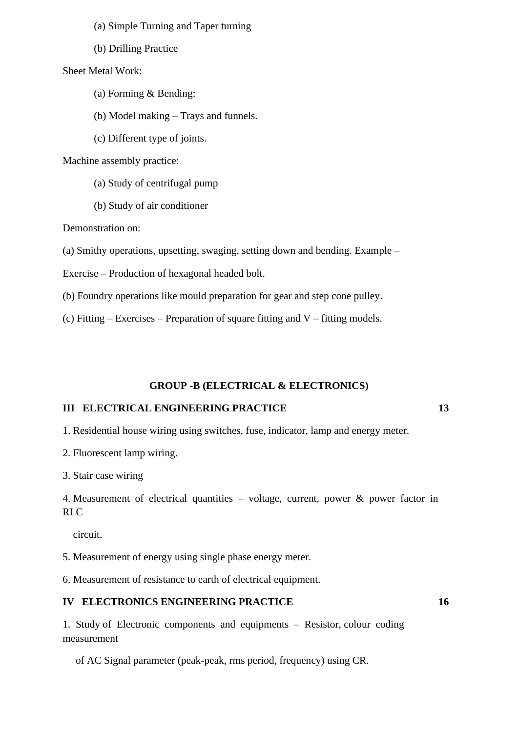(a) Simple Turning and Taper turning

(b) Drilling Practice

Sheet Metal Work:

- (a) Forming & Bending:
- (b) Model making Trays and funnels.
- (c) Different type of joints.

Machine assembly practice:

- (a) Study of centrifugal pump
- (b) Study of air conditioner

Demonstration on:

(a) Smithy operations, upsetting, swaging, setting down and bending. Example –

Exercise – Production of hexagonal headed bolt.

(b) Foundry operations like mould preparation for gear and step cone pulley.

(c) Fitting – Exercises – Preparation of square fitting and  $V$  – fitting models.

#### **GROUP -B (ELECTRICAL & ELECTRONICS)**

#### **III ELECTRICAL ENGINEERING PRACTICE 13**

1. Residential house wiring using switches, fuse, indicator, lamp and energy meter.

- 2. Fluorescent lamp wiring.
- 3. Stair case wiring

4. Measurement of electrical quantities – voltage, current, power & power factor in RLC

circuit.

5. Measurement of energy using single phase energy meter.

6. Measurement of resistance to earth of electrical equipment.

### **IV ELECTRONICS ENGINEERING PRACTICE 16**

1. Study of Electronic components and equipments – Resistor, colour coding measurement

of AC Signal parameter (peak-peak, rms period, frequency) using CR.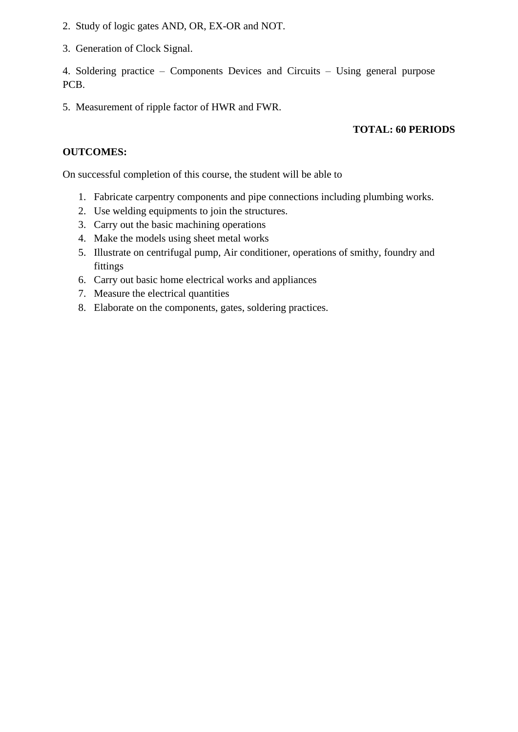- 2. Study of logic gates AND, OR, EX-OR and NOT.
- 3. Generation of Clock Signal.

4. Soldering practice – Components Devices and Circuits – Using general purpose PCB.

5. Measurement of ripple factor of HWR and FWR.

#### **TOTAL: 60 PERIODS**

### **OUTCOMES:**

On successful completion of this course, the student will be able to

- 1. Fabricate carpentry components and pipe connections including plumbing works.
- 2. Use welding equipments to join the structures.
- 3. Carry out the basic machining operations
- 4. Make the models using sheet metal works
- 5. Illustrate on centrifugal pump, Air conditioner, operations of smithy, foundry and fittings
- 6. Carry out basic home electrical works and appliances
- 7. Measure the electrical quantities
- 8. Elaborate on the components, gates, soldering practices.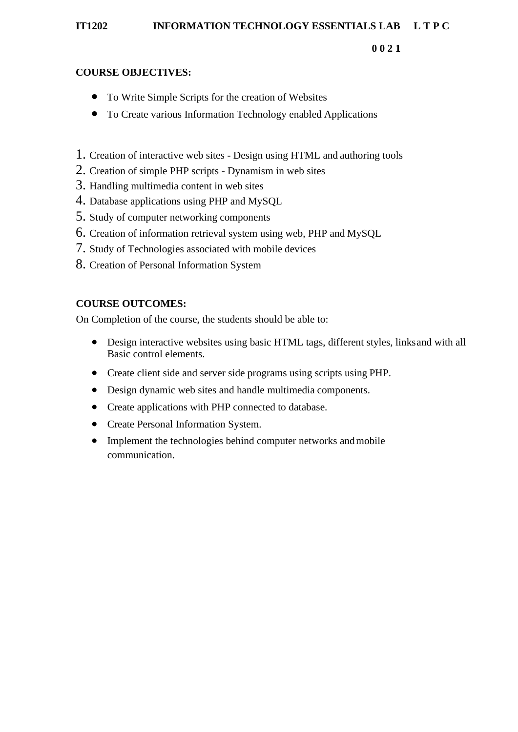### **IT1202 INFORMATION TECHNOLOGY ESSENTIALS LAB L T P C**

**0 0 2 1**

# **COURSE OBJECTIVES:**

- To Write Simple Scripts for the creation of Websites
- To Create various Information Technology enabled Applications
- 1. Creation of interactive web sites Design using HTML and authoring tools
- 2. Creation of simple PHP scripts Dynamism in web sites
- 3. Handling multimedia content in web sites
- 4. Database applications using PHP and MySQL
- 5. Study of computer networking components
- 6. Creation of information retrieval system using web, PHP and MySQL
- 7. Study of Technologies associated with mobile devices
- 8. Creation of Personal Information System

# **COURSE OUTCOMES:**

On Completion of the course, the students should be able to:

- Design interactive websites using basic HTML tags, different styles, linksand with all Basic control elements.
- Create client side and server side programs using scripts using PHP.
- Design dynamic web sites and handle multimedia components.
- Create applications with PHP connected to database.
- Create Personal Information System.
- Implement the technologies behind computer networks and mobile communication.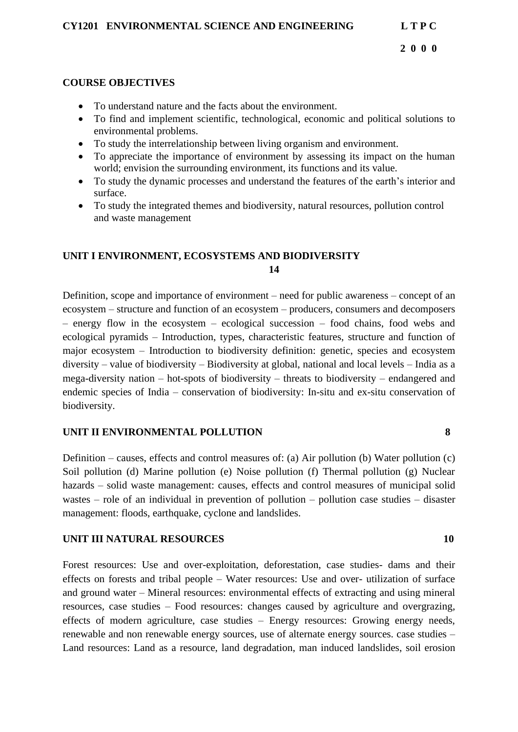# **COURSE OBJECTIVES**

- To understand nature and the facts about the environment.
- To find and implement scientific, technological, economic and political solutions to environmental problems.
- To study the interrelationship between living organism and environment.
- To appreciate the importance of environment by assessing its impact on the human world; envision the surrounding environment, its functions and its value.
- To study the dynamic processes and understand the features of the earth's interior and surface.
- To study the integrated themes and biodiversity, natural resources, pollution control and waste management

# **UNIT I ENVIRONMENT, ECOSYSTEMS AND BIODIVERSITY 14**

Definition, scope and importance of environment – need for public awareness – concept of an ecosystem – structure and function of an ecosystem – producers, consumers and decomposers – energy flow in the ecosystem – ecological succession – food chains, food webs and ecological pyramids – Introduction, types, characteristic features, structure and function of major ecosystem – Introduction to biodiversity definition: genetic, species and ecosystem diversity – value of biodiversity – Biodiversity at global, national and local levels – India as a mega-diversity nation – hot-spots of biodiversity – threats to biodiversity – endangered and endemic species of India – conservation of biodiversity: In-situ and ex-situ conservation of biodiversity.

# **UNIT II ENVIRONMENTAL POLLUTION 8**

Definition – causes, effects and control measures of: (a) Air pollution (b) Water pollution (c) Soil pollution (d) Marine pollution (e) Noise pollution (f) Thermal pollution (g) Nuclear hazards – solid waste management: causes, effects and control measures of municipal solid wastes – role of an individual in prevention of pollution – pollution case studies – disaster management: floods, earthquake, cyclone and landslides.

# **UNIT III NATURAL RESOURCES 10**

Forest resources: Use and over-exploitation, deforestation, case studies- dams and their effects on forests and tribal people – Water resources: Use and over- utilization of surface and ground water – Mineral resources: environmental effects of extracting and using mineral resources, case studies – Food resources: changes caused by agriculture and overgrazing, effects of modern agriculture, case studies – Energy resources: Growing energy needs, renewable and non renewable energy sources, use of alternate energy sources. case studies – Land resources: Land as a resource, land degradation, man induced landslides, soil erosion